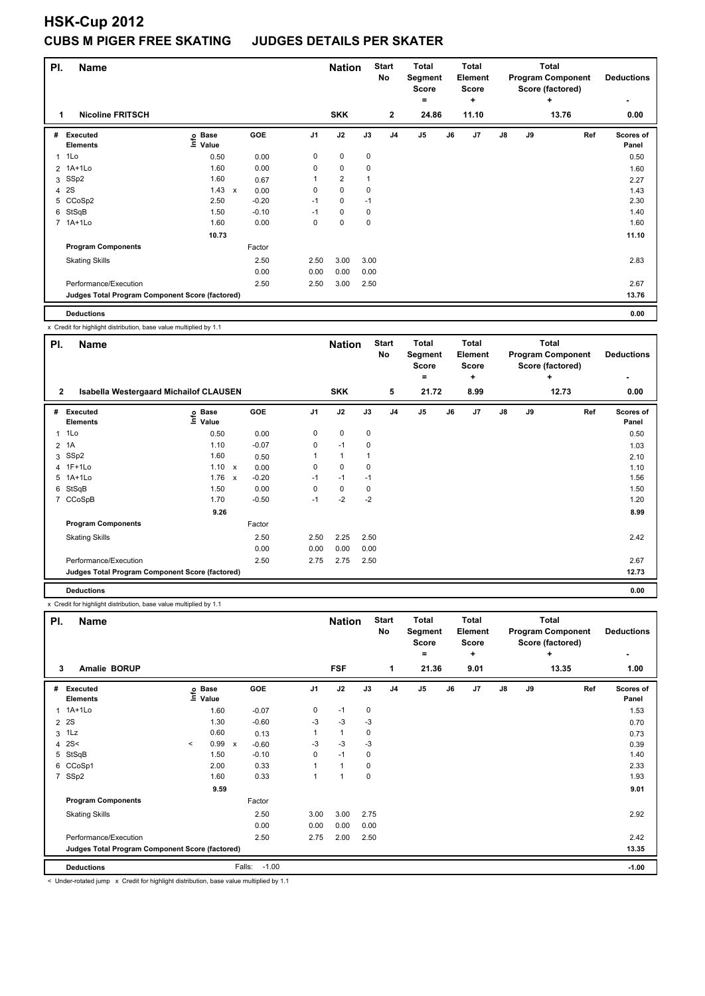## **HSK-Cup 2012 CUBS M PIGER FREE SKATING JUDGES DETAILS PER SKATER**

| PI.            | <b>Name</b>                                     |                              |                                   |                | <b>Nation</b>  |      | <b>Start</b><br>No | <b>Total</b><br>Segment<br><b>Score</b><br>۰ |    | Total<br>Element<br>Score<br>÷ |               |    | <b>Total</b><br><b>Program Component</b><br>Score (factored)<br>÷ | <b>Deductions</b><br>$\overline{\phantom{0}}$ |
|----------------|-------------------------------------------------|------------------------------|-----------------------------------|----------------|----------------|------|--------------------|----------------------------------------------|----|--------------------------------|---------------|----|-------------------------------------------------------------------|-----------------------------------------------|
|                | <b>Nicoline FRITSCH</b>                         |                              |                                   |                | <b>SKK</b>     |      | $\overline{2}$     | 24.86                                        |    | 11.10                          |               |    | 13.76                                                             | 0.00                                          |
| #              | Executed<br><b>Elements</b>                     | <b>Base</b><br>Info<br>Value | GOE                               | J <sub>1</sub> | J2             | J3   | J <sub>4</sub>     | J <sub>5</sub>                               | J6 | J7                             | $\mathsf{J}8$ | J9 | Ref                                                               | Scores of<br>Panel                            |
| 1              | 1Lo                                             | 0.50                         | 0.00                              | 0              | $\mathbf 0$    | 0    |                    |                                              |    |                                |               |    |                                                                   | 0.50                                          |
|                | 2 1A+1Lo                                        | 1.60                         | 0.00                              | 0              | 0              | 0    |                    |                                              |    |                                |               |    |                                                                   | 1.60                                          |
| 3              | SSp2                                            | 1.60                         | 0.67                              | 1              | $\overline{2}$ |      |                    |                                              |    |                                |               |    |                                                                   | 2.27                                          |
| $\overline{4}$ | 2S                                              | 1.43                         | 0.00<br>$\boldsymbol{\mathsf{x}}$ | 0              | $\mathbf 0$    | 0    |                    |                                              |    |                                |               |    |                                                                   | 1.43                                          |
|                | 5 CCoSp2                                        | 2.50                         | $-0.20$                           | $-1$           | $\mathbf 0$    | $-1$ |                    |                                              |    |                                |               |    |                                                                   | 2.30                                          |
| 6              | StSqB                                           | 1.50                         | $-0.10$                           | $-1$           | 0              | 0    |                    |                                              |    |                                |               |    |                                                                   | 1.40                                          |
|                | 7 1A+1Lo                                        | 1.60                         | 0.00                              | 0              | 0              | 0    |                    |                                              |    |                                |               |    |                                                                   | 1.60                                          |
|                |                                                 | 10.73                        |                                   |                |                |      |                    |                                              |    |                                |               |    |                                                                   | 11.10                                         |
|                | <b>Program Components</b>                       |                              | Factor                            |                |                |      |                    |                                              |    |                                |               |    |                                                                   |                                               |
|                | <b>Skating Skills</b>                           |                              | 2.50                              | 2.50           | 3.00           | 3.00 |                    |                                              |    |                                |               |    |                                                                   | 2.83                                          |
|                |                                                 |                              | 0.00                              | 0.00           | 0.00           | 0.00 |                    |                                              |    |                                |               |    |                                                                   |                                               |
|                | Performance/Execution                           |                              | 2.50                              | 2.50           | 3.00           | 2.50 |                    |                                              |    |                                |               |    |                                                                   | 2.67                                          |
|                | Judges Total Program Component Score (factored) |                              |                                   |                |                |      |                    |                                              |    |                                |               |    |                                                                   | 13.76                                         |
|                |                                                 |                              |                                   |                |                |      |                    |                                              |    |                                |               |    |                                                                   |                                               |

**Deductions 0.00**

x Credit for highlight distribution, base value multiplied by 1.1

| PI.            | <b>Name</b>                                     |                   |                         |                | <b>Nation</b> |      | <b>Start</b><br>No | <b>Total</b><br>Segment<br><b>Score</b> |    | <b>Total</b><br>Element<br><b>Score</b> |               |       | <b>Total</b><br><b>Program Component</b><br>Score (factored) | <b>Deductions</b>  |
|----------------|-------------------------------------------------|-------------------|-------------------------|----------------|---------------|------|--------------------|-----------------------------------------|----|-----------------------------------------|---------------|-------|--------------------------------------------------------------|--------------------|
|                |                                                 |                   |                         |                |               |      |                    | $\equiv$                                |    | ÷                                       |               |       | ÷                                                            |                    |
| $\overline{2}$ | <b>Isabella Westergaard Michailof CLAUSEN</b>   |                   |                         |                | <b>SKK</b>    |      | 5                  | 21.72                                   |    | 8.99                                    |               | 12.73 |                                                              | 0.00               |
| #              | <b>Executed</b><br><b>Elements</b>              | e Base<br>E Value | <b>GOE</b>              | J <sub>1</sub> | J2            | J3   | J <sub>4</sub>     | J <sub>5</sub>                          | J6 | J <sub>7</sub>                          | $\mathsf{J}8$ | J9    | Ref                                                          | Scores of<br>Panel |
| 1              | 1Lo                                             | 0.50              | 0.00                    | 0              | $\pmb{0}$     | 0    |                    |                                         |    |                                         |               |       |                                                              | 0.50               |
|                | 2 1A                                            | 1.10              | $-0.07$                 | 0              | $-1$          | 0    |                    |                                         |    |                                         |               |       |                                                              | 1.03               |
| 3              | SSp2                                            | 1.60              | 0.50                    |                | $\mathbf{1}$  |      |                    |                                         |    |                                         |               |       |                                                              | 2.10               |
|                | 4 1F+1Lo                                        | $1.10 \times$     | 0.00                    | 0              | $\mathbf 0$   | 0    |                    |                                         |    |                                         |               |       |                                                              | 1.10               |
|                | 5 1A+1Lo                                        | 1.76              | $-0.20$<br>$\mathsf{x}$ | $-1$           | $-1$          | $-1$ |                    |                                         |    |                                         |               |       |                                                              | 1.56               |
| 6              | StSqB                                           | 1.50              | 0.00                    | 0              | 0             | 0    |                    |                                         |    |                                         |               |       |                                                              | 1.50               |
| $\overline{7}$ | CCoSpB                                          | 1.70              | $-0.50$                 | $-1$           | $-2$          | $-2$ |                    |                                         |    |                                         |               |       |                                                              | 1.20               |
|                |                                                 | 9.26              |                         |                |               |      |                    |                                         |    |                                         |               |       |                                                              | 8.99               |
|                | <b>Program Components</b>                       |                   | Factor                  |                |               |      |                    |                                         |    |                                         |               |       |                                                              |                    |
|                | <b>Skating Skills</b>                           |                   | 2.50                    | 2.50           | 2.25          | 2.50 |                    |                                         |    |                                         |               |       |                                                              | 2.42               |
|                |                                                 |                   | 0.00                    | 0.00           | 0.00          | 0.00 |                    |                                         |    |                                         |               |       |                                                              |                    |
|                | Performance/Execution                           |                   | 2.50                    | 2.75           | 2.75          | 2.50 |                    |                                         |    |                                         |               |       |                                                              | 2.67               |
|                | Judges Total Program Component Score (factored) |                   |                         |                |               |      |                    |                                         |    |                                         |               |       |                                                              | 12.73              |
|                | <b>Deductions</b>                               |                   |                         |                |               |      |                    |                                         |    |                                         |               |       |                                                              | 0.00               |

x Credit for highlight distribution, base value multiplied by 1.1

| PI.<br><b>Name</b> |                                                 |         |                   |                           |                   | <b>Nation</b>  |              | <b>Start</b><br>No | <b>Total</b><br>Segment<br><b>Score</b> |              | <b>Total</b><br>Element<br><b>Score</b> | Total<br><b>Program Component</b><br>Score (factored) |            |    | <b>Deductions</b> |                    |
|--------------------|-------------------------------------------------|---------|-------------------|---------------------------|-------------------|----------------|--------------|--------------------|-----------------------------------------|--------------|-----------------------------------------|-------------------------------------------------------|------------|----|-------------------|--------------------|
| 3                  | Amalie BORUP                                    |         |                   |                           |                   |                | <b>FSF</b>   |                    | 1                                       | $=$<br>21.36 |                                         | ÷<br>9.01                                             |            |    | ÷<br>13.35        | ۰<br>1.00          |
| #                  | Executed<br><b>Elements</b>                     |         | e Base<br>⊆ Value |                           | GOE               | J <sub>1</sub> | J2           | J3                 | J <sub>4</sub>                          | J5           | J6                                      | J7                                                    | ${\sf J8}$ | J9 | Ref               | Scores of<br>Panel |
| 1                  | $1A+1L0$                                        |         | 1.60              |                           | $-0.07$           | 0              | $-1$         | 0                  |                                         |              |                                         |                                                       |            |    |                   | 1.53               |
| $\overline{2}$     | 2S                                              |         | 1.30              |                           | $-0.60$           | -3             | $-3$         | $-3$               |                                         |              |                                         |                                                       |            |    |                   | 0.70               |
| 3                  | 1Lz                                             |         | 0.60              |                           | 0.13              |                | $\mathbf{1}$ | 0                  |                                         |              |                                         |                                                       |            |    |                   | 0.73               |
| 4                  | 2S<                                             | $\prec$ | 0.99              | $\boldsymbol{\mathsf{x}}$ | $-0.60$           | -3             | $-3$         | $-3$               |                                         |              |                                         |                                                       |            |    |                   | 0.39               |
| 5                  | StSqB                                           |         | 1.50              |                           | $-0.10$           | 0              | $-1$         | 0                  |                                         |              |                                         |                                                       |            |    |                   | 1.40               |
| 6                  | CCoSp1                                          |         | 2.00              |                           | 0.33              |                | 1            | 0                  |                                         |              |                                         |                                                       |            |    |                   | 2.33               |
| $\overline{7}$     | SSp2                                            |         | 1.60              |                           | 0.33              |                |              | $\mathbf 0$        |                                         |              |                                         |                                                       |            |    |                   | 1.93               |
|                    |                                                 |         | 9.59              |                           |                   |                |              |                    |                                         |              |                                         |                                                       |            |    |                   | 9.01               |
|                    | <b>Program Components</b>                       |         |                   |                           | Factor            |                |              |                    |                                         |              |                                         |                                                       |            |    |                   |                    |
|                    | <b>Skating Skills</b>                           |         |                   |                           | 2.50              | 3.00           | 3.00         | 2.75               |                                         |              |                                         |                                                       |            |    |                   | 2.92               |
|                    |                                                 |         |                   |                           | 0.00              | 0.00           | 0.00         | 0.00               |                                         |              |                                         |                                                       |            |    |                   |                    |
|                    | Performance/Execution                           |         |                   |                           | 2.50              | 2.75           | 2.00         | 2.50               |                                         |              |                                         |                                                       |            |    |                   | 2.42               |
|                    | Judges Total Program Component Score (factored) |         |                   |                           |                   |                |              |                    |                                         |              |                                         |                                                       |            |    |                   | 13.35              |
|                    | <b>Deductions</b>                               |         |                   |                           | Falls:<br>$-1.00$ |                |              |                    |                                         |              |                                         |                                                       |            |    |                   | $-1.00$            |

< Under-rotated jump x Credit for highlight distribution, base value multiplied by 1.1